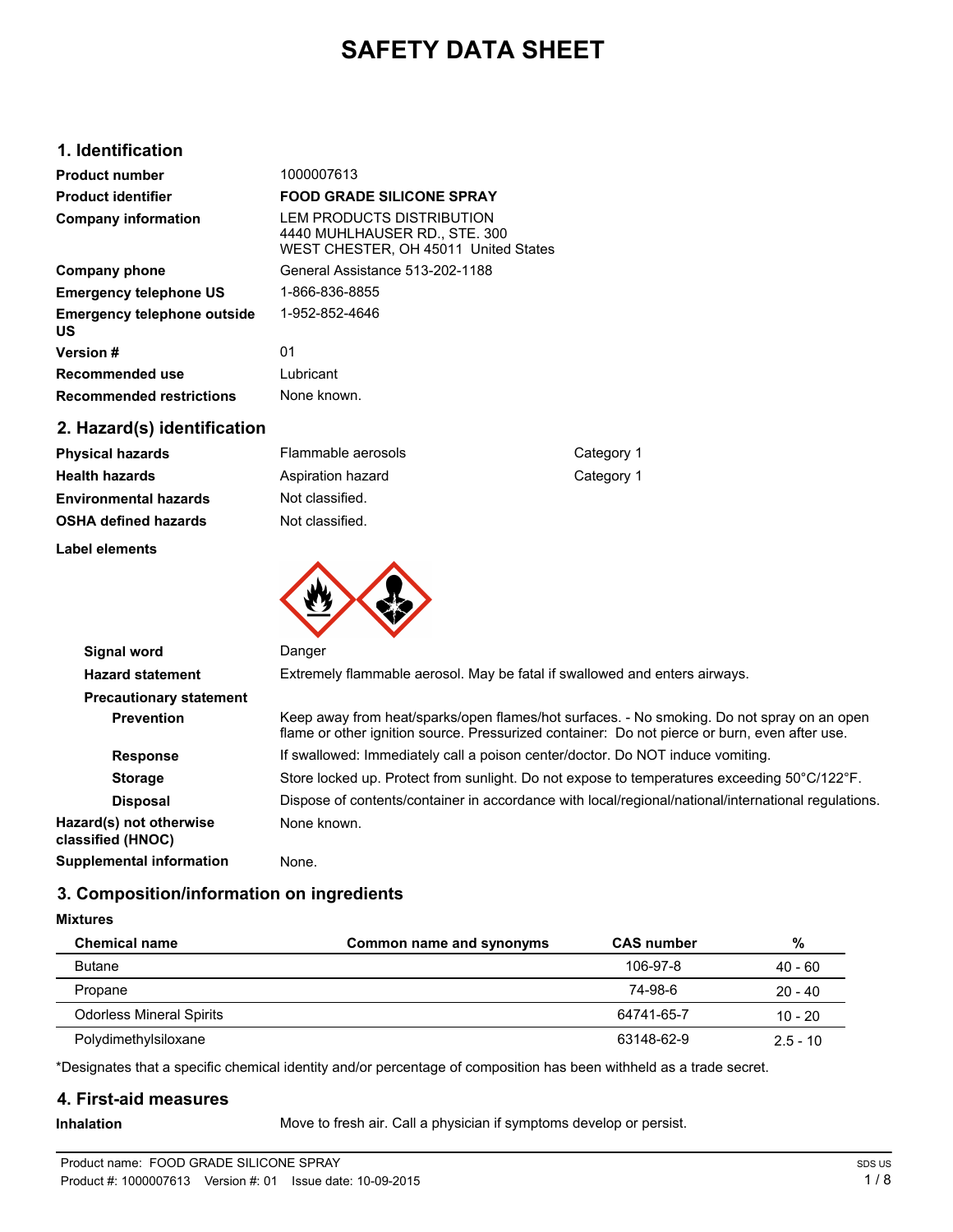# **SAFETY DATA SHEET**

# **1. Identification**

| <b>Product number</b>                    | 1000007613                                                                                         |
|------------------------------------------|----------------------------------------------------------------------------------------------------|
| <b>Product identifier</b>                | <b>FOOD GRADE SILICONE SPRAY</b>                                                                   |
| <b>Company information</b>               | LEM PRODUCTS DISTRIBUTION<br>4440 MUHLHAUSER RD., STE. 300<br>WEST CHESTER, OH 45011 United States |
| Company phone                            | General Assistance 513-202-1188                                                                    |
| <b>Emergency telephone US</b>            | 1-866-836-8855                                                                                     |
| <b>Emergency telephone outside</b><br>US | 1-952-852-4646                                                                                     |
| <b>Version #</b>                         | 01                                                                                                 |
| Recommended use                          | Lubricant                                                                                          |
| <b>Recommended restrictions</b>          | None known.                                                                                        |
|                                          |                                                                                                    |

# **2. Hazard(s) identification**

| <b>Label elements</b>        |                    |  |  |
|------------------------------|--------------------|--|--|
| <b>OSHA defined hazards</b>  | Not classified.    |  |  |
| <b>Environmental hazards</b> | Not classified.    |  |  |
| <b>Health hazards</b>        | Aspiration hazard  |  |  |
| <b>Physical hazards</b>      | Flammable aerosols |  |  |

研入学

**Category 1 Category 1** 

| <b>Signal word</b>                           | Danger                                                                                                                                                                                      |  |  |
|----------------------------------------------|---------------------------------------------------------------------------------------------------------------------------------------------------------------------------------------------|--|--|
| <b>Hazard statement</b>                      | Extremely flammable aerosol. May be fatal if swallowed and enters airways.                                                                                                                  |  |  |
| <b>Precautionary statement</b>               |                                                                                                                                                                                             |  |  |
| <b>Prevention</b>                            | Keep away from heat/sparks/open flames/hot surfaces. - No smoking. Do not spray on an open<br>flame or other ignition source. Pressurized container: Do not pierce or burn, even after use. |  |  |
| <b>Response</b>                              | If swallowed: Immediately call a poison center/doctor. Do NOT induce vomiting.                                                                                                              |  |  |
| <b>Storage</b>                               | Store locked up. Protect from sunlight. Do not expose to temperatures exceeding 50°C/122°F.                                                                                                 |  |  |
| <b>Disposal</b>                              | Dispose of contents/container in accordance with local/regional/national/international regulations.                                                                                         |  |  |
| Hazard(s) not otherwise<br>classified (HNOC) | None known.                                                                                                                                                                                 |  |  |
| <b>Supplemental information</b>              | None.                                                                                                                                                                                       |  |  |
|                                              |                                                                                                                                                                                             |  |  |

# **3. Composition/information on ingredients**

**Mixtures**

| <b>Chemical name</b>            | Common name and synonyms | <b>CAS number</b> | %          |
|---------------------------------|--------------------------|-------------------|------------|
| <b>Butane</b>                   |                          | 106-97-8          | $40 - 60$  |
| Propane                         |                          | 74-98-6           | $20 - 40$  |
| <b>Odorless Mineral Spirits</b> |                          | 64741-65-7        | $10 - 20$  |
| Polydimethylsiloxane            |                          | 63148-62-9        | $2.5 - 10$ |

\*Designates that a specific chemical identity and/or percentage of composition has been withheld as a trade secret.

# **4. First-aid measures**

**Inhalation** Move to fresh air. Call a physician if symptoms develop or persist.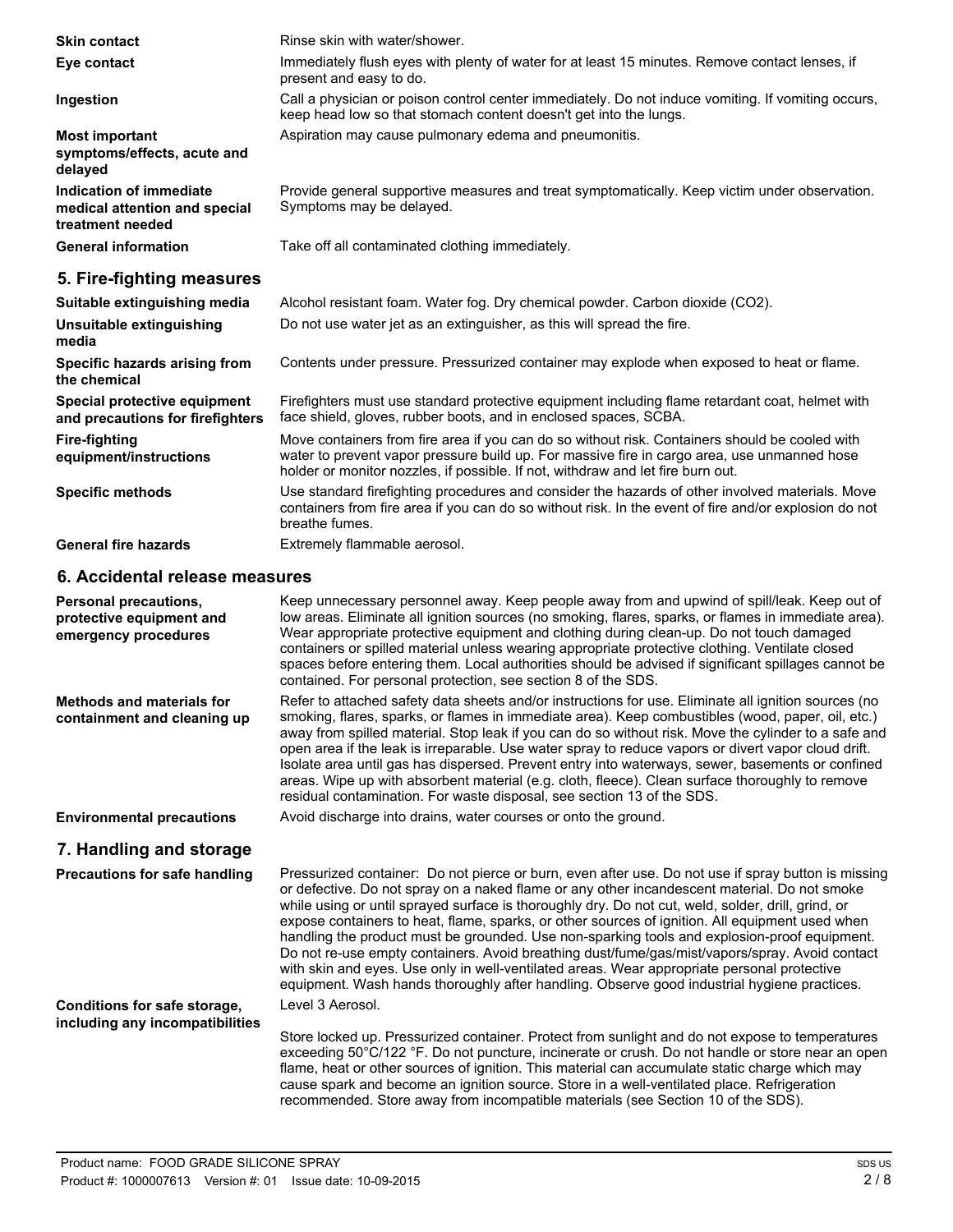| <b>Skin contact</b>                                                          | Rinse skin with water/shower.                                                                                                                                                                                                                                                                                                                                                                                                                                                                                                                                                                                                                                                                                                                                                                                |
|------------------------------------------------------------------------------|--------------------------------------------------------------------------------------------------------------------------------------------------------------------------------------------------------------------------------------------------------------------------------------------------------------------------------------------------------------------------------------------------------------------------------------------------------------------------------------------------------------------------------------------------------------------------------------------------------------------------------------------------------------------------------------------------------------------------------------------------------------------------------------------------------------|
| Eye contact                                                                  | Immediately flush eyes with plenty of water for at least 15 minutes. Remove contact lenses, if<br>present and easy to do.                                                                                                                                                                                                                                                                                                                                                                                                                                                                                                                                                                                                                                                                                    |
| Ingestion                                                                    | Call a physician or poison control center immediately. Do not induce vomiting. If vomiting occurs,<br>keep head low so that stomach content doesn't get into the lungs.                                                                                                                                                                                                                                                                                                                                                                                                                                                                                                                                                                                                                                      |
| <b>Most important</b><br>symptoms/effects, acute and<br>delayed              | Aspiration may cause pulmonary edema and pneumonitis.                                                                                                                                                                                                                                                                                                                                                                                                                                                                                                                                                                                                                                                                                                                                                        |
| Indication of immediate<br>medical attention and special<br>treatment needed | Provide general supportive measures and treat symptomatically. Keep victim under observation.<br>Symptoms may be delayed.                                                                                                                                                                                                                                                                                                                                                                                                                                                                                                                                                                                                                                                                                    |
| <b>General information</b>                                                   | Take off all contaminated clothing immediately.                                                                                                                                                                                                                                                                                                                                                                                                                                                                                                                                                                                                                                                                                                                                                              |
| 5. Fire-fighting measures                                                    |                                                                                                                                                                                                                                                                                                                                                                                                                                                                                                                                                                                                                                                                                                                                                                                                              |
| Suitable extinguishing media                                                 | Alcohol resistant foam. Water fog. Dry chemical powder. Carbon dioxide (CO2).                                                                                                                                                                                                                                                                                                                                                                                                                                                                                                                                                                                                                                                                                                                                |
| Unsuitable extinguishing<br>media                                            | Do not use water jet as an extinguisher, as this will spread the fire.                                                                                                                                                                                                                                                                                                                                                                                                                                                                                                                                                                                                                                                                                                                                       |
| Specific hazards arising from<br>the chemical                                | Contents under pressure. Pressurized container may explode when exposed to heat or flame.                                                                                                                                                                                                                                                                                                                                                                                                                                                                                                                                                                                                                                                                                                                    |
| Special protective equipment<br>and precautions for firefighters             | Firefighters must use standard protective equipment including flame retardant coat, helmet with<br>face shield, gloves, rubber boots, and in enclosed spaces, SCBA.                                                                                                                                                                                                                                                                                                                                                                                                                                                                                                                                                                                                                                          |
| <b>Fire-fighting</b><br>equipment/instructions                               | Move containers from fire area if you can do so without risk. Containers should be cooled with<br>water to prevent vapor pressure build up. For massive fire in cargo area, use unmanned hose<br>holder or monitor nozzles, if possible. If not, withdraw and let fire burn out.                                                                                                                                                                                                                                                                                                                                                                                                                                                                                                                             |
| <b>Specific methods</b>                                                      | Use standard firefighting procedures and consider the hazards of other involved materials. Move<br>containers from fire area if you can do so without risk. In the event of fire and/or explosion do not<br>breathe fumes.                                                                                                                                                                                                                                                                                                                                                                                                                                                                                                                                                                                   |
| <b>General fire hazards</b>                                                  | Extremely flammable aerosol.                                                                                                                                                                                                                                                                                                                                                                                                                                                                                                                                                                                                                                                                                                                                                                                 |
| 6. Accidental release measures                                               |                                                                                                                                                                                                                                                                                                                                                                                                                                                                                                                                                                                                                                                                                                                                                                                                              |
| Personal precautions,<br>protective equipment and<br>emergency procedures    | Keep unnecessary personnel away. Keep people away from and upwind of spill/leak. Keep out of<br>low areas. Eliminate all ignition sources (no smoking, flares, sparks, or flames in immediate area).<br>Wear appropriate protective equipment and clothing during clean-up. Do not touch damaged<br>containers or spilled material unless wearing appropriate protective clothing. Ventilate closed<br>spaces before entering them. Local authorities should be advised if significant spillages cannot be<br>contained. For personal protection, see section 8 of the SDS.                                                                                                                                                                                                                                  |
| <b>Methods and materials for</b><br>containment and cleaning up              | Refer to attached safety data sheets and/or instructions for use. Eliminate all ignition sources (no<br>smoking, flares, sparks, or flames in immediate area). Keep combustibles (wood, paper, oil, etc.)<br>away from spilled material. Stop leak if you can do so without risk. Move the cylinder to a safe and<br>open area if the leak is irreparable. Use water spray to reduce vapors or divert vapor cloud drift.<br>Isolate area until gas has dispersed. Prevent entry into waterways, sewer, basements or confined<br>areas. Wipe up with absorbent material (e.g. cloth, fleece). Clean surface thoroughly to remove<br>residual contamination. For waste disposal, see section 13 of the SDS.                                                                                                    |
| <b>Environmental precautions</b>                                             | Avoid discharge into drains, water courses or onto the ground.                                                                                                                                                                                                                                                                                                                                                                                                                                                                                                                                                                                                                                                                                                                                               |
| 7. Handling and storage                                                      |                                                                                                                                                                                                                                                                                                                                                                                                                                                                                                                                                                                                                                                                                                                                                                                                              |
| <b>Precautions for safe handling</b>                                         | Pressurized container: Do not pierce or burn, even after use. Do not use if spray button is missing<br>or defective. Do not spray on a naked flame or any other incandescent material. Do not smoke<br>while using or until sprayed surface is thoroughly dry. Do not cut, weld, solder, drill, grind, or<br>expose containers to heat, flame, sparks, or other sources of ignition. All equipment used when<br>handling the product must be grounded. Use non-sparking tools and explosion-proof equipment.<br>Do not re-use empty containers. Avoid breathing dust/fume/gas/mist/vapors/spray. Avoid contact<br>with skin and eyes. Use only in well-ventilated areas. Wear appropriate personal protective<br>equipment. Wash hands thoroughly after handling. Observe good industrial hygiene practices. |
| Conditions for safe storage,                                                 | Level 3 Aerosol.                                                                                                                                                                                                                                                                                                                                                                                                                                                                                                                                                                                                                                                                                                                                                                                             |
| including any incompatibilities                                              | Store locked up. Pressurized container. Protect from sunlight and do not expose to temperatures<br>exceeding 50°C/122 °F. Do not puncture, incinerate or crush. Do not handle or store near an open<br>flame, heat or other sources of ignition. This material can accumulate static charge which may<br>cause spark and become an ignition source. Store in a well-ventilated place. Refrigeration<br>recommended. Store away from incompatible materials (see Section 10 of the SDS).                                                                                                                                                                                                                                                                                                                      |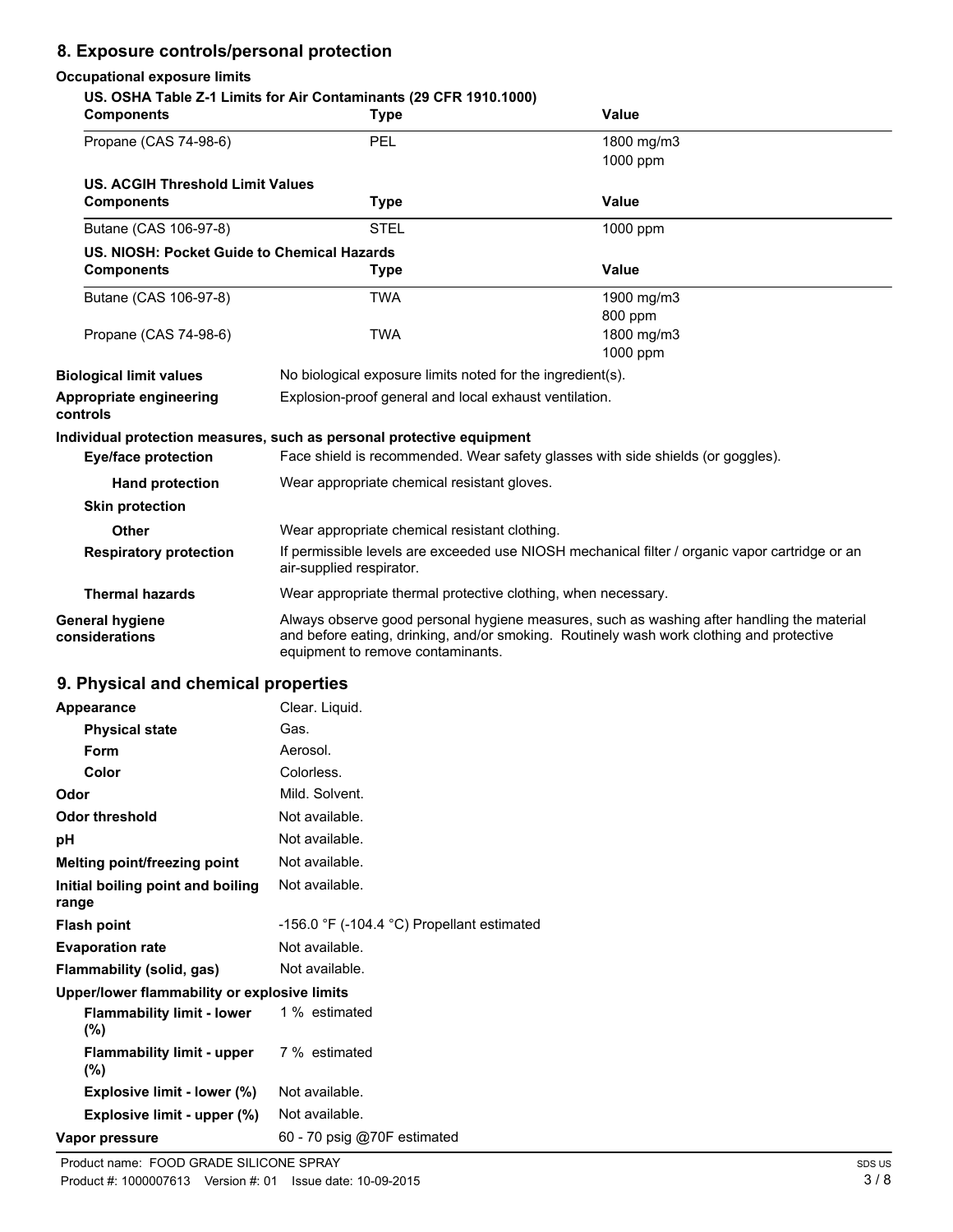# **8. Exposure controls/personal protection**

### **Occupational exposure limits**

| <b>Components</b>                            | US. OSHA Table Z-1 Limits for Air Contaminants (29 CFR 1910.1000)<br><b>Type</b>                                                                                                                                            | Value                                                                                          |  |
|----------------------------------------------|-----------------------------------------------------------------------------------------------------------------------------------------------------------------------------------------------------------------------------|------------------------------------------------------------------------------------------------|--|
| Propane (CAS 74-98-6)                        | <b>PEL</b>                                                                                                                                                                                                                  | 1800 mg/m3<br>1000 ppm                                                                         |  |
| <b>US. ACGIH Threshold Limit Values</b>      |                                                                                                                                                                                                                             |                                                                                                |  |
| <b>Components</b>                            | <b>Type</b>                                                                                                                                                                                                                 | Value                                                                                          |  |
| Butane (CAS 106-97-8)                        | <b>STEL</b>                                                                                                                                                                                                                 | 1000 ppm                                                                                       |  |
| US. NIOSH: Pocket Guide to Chemical Hazards  |                                                                                                                                                                                                                             |                                                                                                |  |
| <b>Components</b>                            | <b>Type</b>                                                                                                                                                                                                                 | Value                                                                                          |  |
| Butane (CAS 106-97-8)                        | <b>TWA</b>                                                                                                                                                                                                                  | 1900 mg/m3                                                                                     |  |
|                                              |                                                                                                                                                                                                                             | 800 ppm                                                                                        |  |
| Propane (CAS 74-98-6)                        | <b>TWA</b>                                                                                                                                                                                                                  | 1800 mg/m3<br>1000 ppm                                                                         |  |
| <b>Biological limit values</b>               | No biological exposure limits noted for the ingredient(s).                                                                                                                                                                  |                                                                                                |  |
| Appropriate engineering                      | Explosion-proof general and local exhaust ventilation.                                                                                                                                                                      |                                                                                                |  |
| controls                                     |                                                                                                                                                                                                                             |                                                                                                |  |
| <b>Eye/face protection</b>                   | Individual protection measures, such as personal protective equipment                                                                                                                                                       | Face shield is recommended. Wear safety glasses with side shields (or goggles).                |  |
| <b>Hand protection</b>                       | Wear appropriate chemical resistant gloves.                                                                                                                                                                                 |                                                                                                |  |
| <b>Skin protection</b>                       |                                                                                                                                                                                                                             |                                                                                                |  |
| <b>Other</b>                                 | Wear appropriate chemical resistant clothing.                                                                                                                                                                               |                                                                                                |  |
| <b>Respiratory protection</b>                | air-supplied respirator.                                                                                                                                                                                                    | If permissible levels are exceeded use NIOSH mechanical filter / organic vapor cartridge or an |  |
| <b>Thermal hazards</b>                       | Wear appropriate thermal protective clothing, when necessary.                                                                                                                                                               |                                                                                                |  |
| General hygiene<br>considerations            | Always observe good personal hygiene measures, such as washing after handling the material<br>and before eating, drinking, and/or smoking. Routinely wash work clothing and protective<br>equipment to remove contaminants. |                                                                                                |  |
| 9. Physical and chemical properties          |                                                                                                                                                                                                                             |                                                                                                |  |
| Appearance                                   | Clear. Liquid.                                                                                                                                                                                                              |                                                                                                |  |
| <b>Physical state</b>                        | Gas.                                                                                                                                                                                                                        |                                                                                                |  |
| Form                                         | Aerosol.                                                                                                                                                                                                                    |                                                                                                |  |
| Color                                        | Colorless.                                                                                                                                                                                                                  |                                                                                                |  |
| Odor                                         | Mild. Solvent.                                                                                                                                                                                                              |                                                                                                |  |
| Odor threshold                               | Not available.                                                                                                                                                                                                              |                                                                                                |  |
| pН                                           | Not available.                                                                                                                                                                                                              |                                                                                                |  |
| Melting point/freezing point                 | Not available.                                                                                                                                                                                                              |                                                                                                |  |
| Initial boiling point and boiling<br>range   | Not available.                                                                                                                                                                                                              |                                                                                                |  |
| <b>Flash point</b>                           | -156.0 °F (-104.4 °C) Propellant estimated                                                                                                                                                                                  |                                                                                                |  |
| <b>Evaporation rate</b>                      | Not available.                                                                                                                                                                                                              |                                                                                                |  |
| Flammability (solid, gas)                    | Not available.                                                                                                                                                                                                              |                                                                                                |  |
| Upper/lower flammability or explosive limits |                                                                                                                                                                                                                             |                                                                                                |  |
| <b>Flammability limit - lower</b><br>(%)     | 1 % estimated                                                                                                                                                                                                               |                                                                                                |  |
| <b>Flammability limit - upper</b><br>$(\% )$ | 7 % estimated                                                                                                                                                                                                               |                                                                                                |  |
| Explosive limit - lower (%)                  | Not available.                                                                                                                                                                                                              |                                                                                                |  |
| Explosive limit - upper (%)                  | Not available.                                                                                                                                                                                                              |                                                                                                |  |
| Vapor pressure                               | 60 - 70 psig @70F estimated                                                                                                                                                                                                 |                                                                                                |  |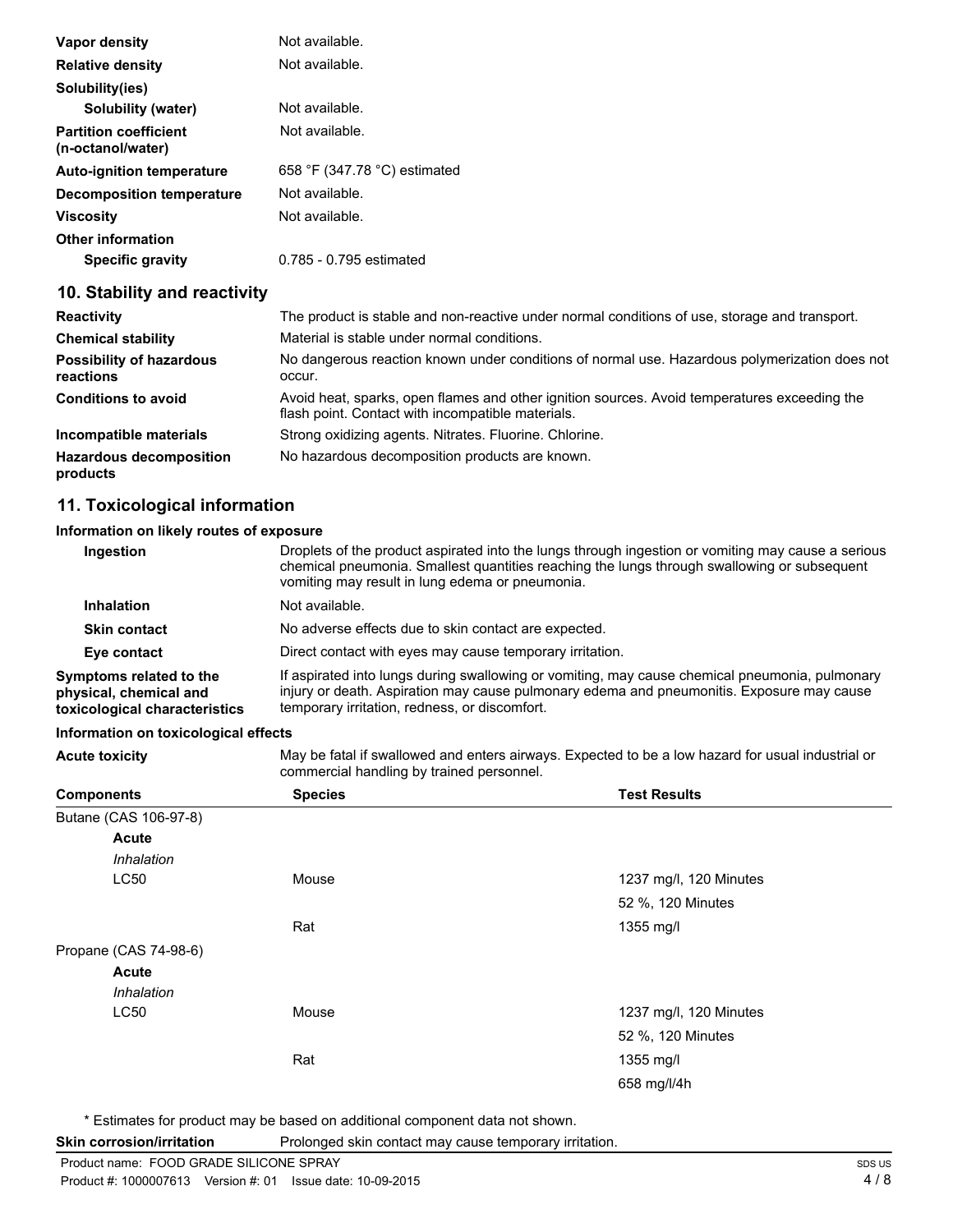| Vapor density                                     | Not available.               |
|---------------------------------------------------|------------------------------|
| <b>Relative density</b>                           | Not available.               |
| Solubility(ies)                                   |                              |
| Solubility (water)                                | Not available.               |
| <b>Partition coefficient</b><br>(n-octanol/water) | Not available.               |
| <b>Auto-ignition temperature</b>                  | 658 °F (347.78 °C) estimated |
| Decomposition temperature                         | Not available.               |
| Viscosity                                         | Not available.               |
| <b>Other information</b>                          |                              |
| Specific gravity                                  | 0.785 - 0.795 estimated      |

# **10. Stability and reactivity**

| <b>Reactivity</b>                            | The product is stable and non-reactive under normal conditions of use, storage and transport.                                                     |
|----------------------------------------------|---------------------------------------------------------------------------------------------------------------------------------------------------|
| <b>Chemical stability</b>                    | Material is stable under normal conditions.                                                                                                       |
| <b>Possibility of hazardous</b><br>reactions | No dangerous reaction known under conditions of normal use. Hazardous polymerization does not<br>occur.                                           |
| <b>Conditions to avoid</b>                   | Avoid heat, sparks, open flames and other ignition sources. Avoid temperatures exceeding the<br>flash point. Contact with incompatible materials. |
| Incompatible materials                       | Strong oxidizing agents. Nitrates. Fluorine. Chlorine.                                                                                            |
| <b>Hazardous decomposition</b><br>products   | No hazardous decomposition products are known.                                                                                                    |

# **11. Toxicological information**

# **Information on likely routes of exposure**

| Ingestion                                                                          | Droplets of the product aspirated into the lungs through ingestion or vomiting may cause a serious<br>chemical pneumonia. Smallest quantities reaching the lungs through swallowing or subsequent<br>vomiting may result in lung edema or pneumonia. |
|------------------------------------------------------------------------------------|------------------------------------------------------------------------------------------------------------------------------------------------------------------------------------------------------------------------------------------------------|
| <b>Inhalation</b>                                                                  | Not available.                                                                                                                                                                                                                                       |
| <b>Skin contact</b>                                                                | No adverse effects due to skin contact are expected.                                                                                                                                                                                                 |
| Eye contact                                                                        | Direct contact with eyes may cause temporary irritation.                                                                                                                                                                                             |
| Symptoms related to the<br>physical, chemical and<br>toxicological characteristics | If aspirated into lungs during swallowing or vomiting, may cause chemical pneumonia, pulmonary<br>injury or death. Aspiration may cause pulmonary edema and pneumonitis. Exposure may cause<br>temporary irritation, redness, or discomfort.         |

#### **Information on toxicological effects**

**Acute toxicity** May be fatal if swallowed and enters airways. Expected to be a low hazard for usual industrial or commercial handling by trained personnel.

|                       | ີ              |                        |
|-----------------------|----------------|------------------------|
| <b>Components</b>     | <b>Species</b> | <b>Test Results</b>    |
| Butane (CAS 106-97-8) |                |                        |
| <b>Acute</b>          |                |                        |
| Inhalation            |                |                        |
| LC50                  | Mouse          | 1237 mg/l, 120 Minutes |
|                       |                | 52 %, 120 Minutes      |
|                       | Rat            | 1355 mg/l              |
| Propane (CAS 74-98-6) |                |                        |
| <b>Acute</b>          |                |                        |
| Inhalation            |                |                        |
| LC50                  | Mouse          | 1237 mg/l, 120 Minutes |
|                       |                | 52 %, 120 Minutes      |
|                       | Rat            | 1355 mg/l              |
|                       |                | 658 mg/l/4h            |
|                       |                |                        |

\* Estimates for product may be based on additional component data not shown.

| Skin corrosion/irritation | Prolonged skin contact may cause temporary irritation. |
|---------------------------|--------------------------------------------------------|
|---------------------------|--------------------------------------------------------|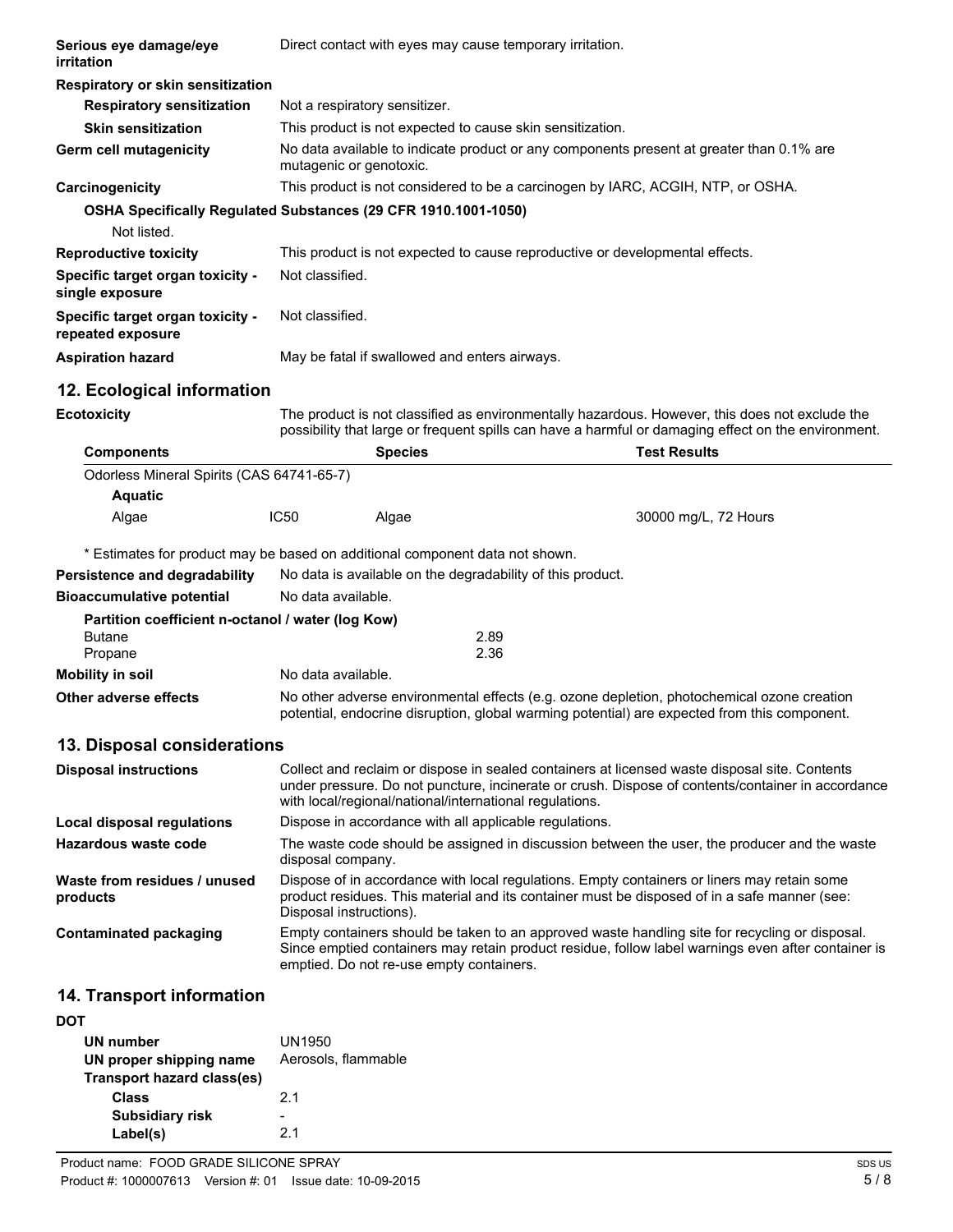| Serious eye damage/eye<br>irritation                           | Direct contact with eyes may cause temporary irritation.                                                                                                                                                                                                      |                                                                              |                                                                                                                                                                                                       |  |
|----------------------------------------------------------------|---------------------------------------------------------------------------------------------------------------------------------------------------------------------------------------------------------------------------------------------------------------|------------------------------------------------------------------------------|-------------------------------------------------------------------------------------------------------------------------------------------------------------------------------------------------------|--|
| Respiratory or skin sensitization                              |                                                                                                                                                                                                                                                               |                                                                              |                                                                                                                                                                                                       |  |
| <b>Respiratory sensitization</b>                               | Not a respiratory sensitizer.                                                                                                                                                                                                                                 |                                                                              |                                                                                                                                                                                                       |  |
| <b>Skin sensitization</b>                                      |                                                                                                                                                                                                                                                               | This product is not expected to cause skin sensitization.                    |                                                                                                                                                                                                       |  |
| Germ cell mutagenicity                                         | mutagenic or genotoxic.                                                                                                                                                                                                                                       |                                                                              | No data available to indicate product or any components present at greater than 0.1% are                                                                                                              |  |
| Carcinogenicity                                                |                                                                                                                                                                                                                                                               |                                                                              | This product is not considered to be a carcinogen by IARC, ACGIH, NTP, or OSHA.                                                                                                                       |  |
| OSHA Specifically Regulated Substances (29 CFR 1910.1001-1050) |                                                                                                                                                                                                                                                               |                                                                              |                                                                                                                                                                                                       |  |
| Not listed.                                                    |                                                                                                                                                                                                                                                               |                                                                              |                                                                                                                                                                                                       |  |
| <b>Reproductive toxicity</b>                                   |                                                                                                                                                                                                                                                               | This product is not expected to cause reproductive or developmental effects. |                                                                                                                                                                                                       |  |
| Specific target organ toxicity -<br>single exposure            | Not classified.                                                                                                                                                                                                                                               |                                                                              |                                                                                                                                                                                                       |  |
| Specific target organ toxicity -<br>repeated exposure          | Not classified.                                                                                                                                                                                                                                               |                                                                              |                                                                                                                                                                                                       |  |
| <b>Aspiration hazard</b>                                       |                                                                                                                                                                                                                                                               | May be fatal if swallowed and enters airways.                                |                                                                                                                                                                                                       |  |
| 12. Ecological information                                     |                                                                                                                                                                                                                                                               |                                                                              |                                                                                                                                                                                                       |  |
| <b>Ecotoxicity</b>                                             |                                                                                                                                                                                                                                                               |                                                                              | The product is not classified as environmentally hazardous. However, this does not exclude the<br>possibility that large or frequent spills can have a harmful or damaging effect on the environment. |  |
| <b>Components</b>                                              |                                                                                                                                                                                                                                                               | <b>Species</b>                                                               | <b>Test Results</b>                                                                                                                                                                                   |  |
| Odorless Mineral Spirits (CAS 64741-65-7)                      |                                                                                                                                                                                                                                                               |                                                                              |                                                                                                                                                                                                       |  |
| <b>Aquatic</b>                                                 |                                                                                                                                                                                                                                                               |                                                                              |                                                                                                                                                                                                       |  |
| Algae                                                          | <b>IC50</b>                                                                                                                                                                                                                                                   | Algae                                                                        | 30000 mg/L, 72 Hours                                                                                                                                                                                  |  |
|                                                                |                                                                                                                                                                                                                                                               | * Estimates for product may be based on additional component data not shown. |                                                                                                                                                                                                       |  |
| Persistence and degradability                                  |                                                                                                                                                                                                                                                               | No data is available on the degradability of this product.                   |                                                                                                                                                                                                       |  |
| <b>Bioaccumulative potential</b>                               | No data available.                                                                                                                                                                                                                                            |                                                                              |                                                                                                                                                                                                       |  |
| Partition coefficient n-octanol / water (log Kow)              |                                                                                                                                                                                                                                                               |                                                                              |                                                                                                                                                                                                       |  |
| <b>Butane</b>                                                  |                                                                                                                                                                                                                                                               | 2.89<br>2.36                                                                 |                                                                                                                                                                                                       |  |
| Propane<br><b>Mobility in soil</b>                             | No data available.                                                                                                                                                                                                                                            |                                                                              |                                                                                                                                                                                                       |  |
| Other adverse effects                                          |                                                                                                                                                                                                                                                               |                                                                              | No other adverse environmental effects (e.g. ozone depletion, photochemical ozone creation                                                                                                            |  |
|                                                                |                                                                                                                                                                                                                                                               |                                                                              | potential, endocrine disruption, global warming potential) are expected from this component.                                                                                                          |  |
| 13. Disposal considerations                                    |                                                                                                                                                                                                                                                               |                                                                              |                                                                                                                                                                                                       |  |
| <b>Disposal instructions</b>                                   | Collect and reclaim or dispose in sealed containers at licensed waste disposal site. Contents<br>under pressure. Do not puncture, incinerate or crush. Dispose of contents/container in accordance<br>with local/regional/national/international regulations. |                                                                              |                                                                                                                                                                                                       |  |
| <b>Local disposal regulations</b>                              |                                                                                                                                                                                                                                                               | Dispose in accordance with all applicable regulations.                       |                                                                                                                                                                                                       |  |
| Hazardous waste code                                           | disposal company.                                                                                                                                                                                                                                             |                                                                              | The waste code should be assigned in discussion between the user, the producer and the waste                                                                                                          |  |
| Waste from residues / unused<br>products                       | Dispose of in accordance with local regulations. Empty containers or liners may retain some<br>product residues. This material and its container must be disposed of in a safe manner (see:<br>Disposal instructions).                                        |                                                                              |                                                                                                                                                                                                       |  |
| <b>Contaminated packaging</b>                                  | Empty containers should be taken to an approved waste handling site for recycling or disposal.<br>Since emptied containers may retain product residue, follow label warnings even after container is<br>emptied. Do not re-use empty containers.              |                                                                              |                                                                                                                                                                                                       |  |
| 14. Transport information                                      |                                                                                                                                                                                                                                                               |                                                                              |                                                                                                                                                                                                       |  |
| <b>DOT</b>                                                     |                                                                                                                                                                                                                                                               |                                                                              |                                                                                                                                                                                                       |  |
| UN number                                                      | UN1950                                                                                                                                                                                                                                                        |                                                                              |                                                                                                                                                                                                       |  |
| UN proper shipping name<br><b>Transport hazard class(es)</b>   | Aerosols, flammable                                                                                                                                                                                                                                           |                                                                              |                                                                                                                                                                                                       |  |

| <b>Class</b>                                                     |  | 21 |  |
|------------------------------------------------------------------|--|----|--|
| <b>Subsidiary risk</b>                                           |  |    |  |
| Label(s)                                                         |  | 21 |  |
| Product name: FOOD GRADE SILICONE SPRAY                          |  |    |  |
| Product #: 1000007613    Version #: 01    Issue date: 10-09-2015 |  |    |  |

 $\overline{a}$ 

5 / 8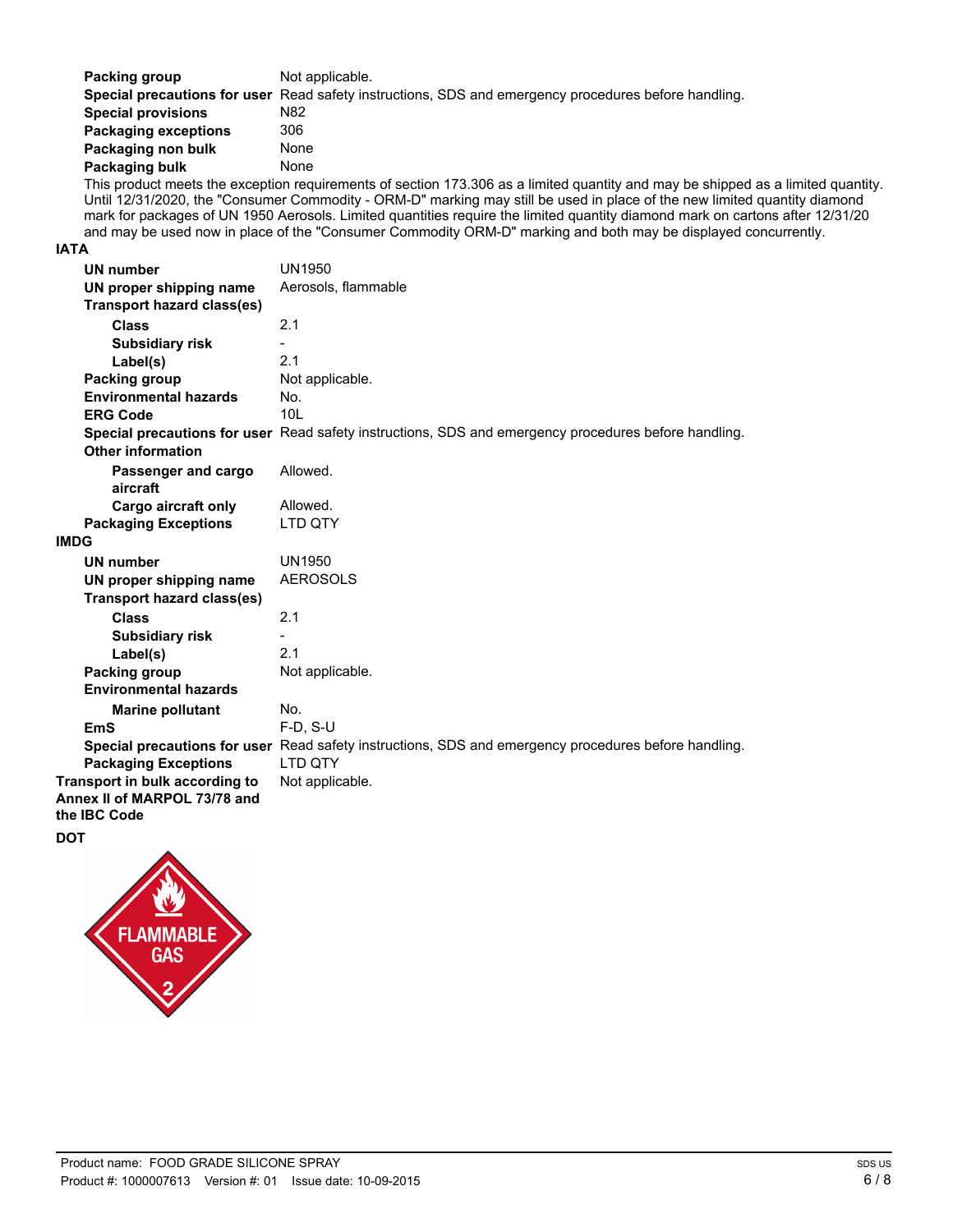| Packing group               | Not applicable.                                                                                             |
|-----------------------------|-------------------------------------------------------------------------------------------------------------|
|                             | Special precautions for user Read safety instructions, SDS and emergency procedures before handling.        |
| <b>Special provisions</b>   | N82                                                                                                         |
| <b>Packaging exceptions</b> | 306                                                                                                         |
| Packaging non bulk          | None                                                                                                        |
| Packaging bulk              | None                                                                                                        |
|                             | This product moote the exception requirements of section 173,306 as a limited quantity and may be shipped a |

This product meets the exception requirements of section 173.306 as a limited quantity and may be shipped as a limited quantity. Until 12/31/2020, the "Consumer Commodity - ORM-D" marking may still be used in place of the new limited quantity diamond mark for packages of UN 1950 Aerosols. Limited quantities require the limited quantity diamond mark on cartons after 12/31/20 and may be used now in place of the "Consumer Commodity ORM-D" marking and both may be displayed concurrently.

#### **IATA**

| UN number                         | UN1950                                                                                               |
|-----------------------------------|------------------------------------------------------------------------------------------------------|
| UN proper shipping name           | Aerosols, flammable                                                                                  |
| Transport hazard class(es)        |                                                                                                      |
| <b>Class</b>                      | 2.1                                                                                                  |
| <b>Subsidiary risk</b>            |                                                                                                      |
| Label(s)                          | 2.1                                                                                                  |
| Packing group                     | Not applicable.                                                                                      |
| <b>Environmental hazards</b>      | No.                                                                                                  |
| <b>ERG Code</b>                   | 10 <sub>L</sub>                                                                                      |
|                                   | Special precautions for user Read safety instructions, SDS and emergency procedures before handling. |
| <b>Other information</b>          |                                                                                                      |
| Passenger and cargo               | Allowed.                                                                                             |
| aircraft                          |                                                                                                      |
| <b>Cargo aircraft only</b>        | Allowed.                                                                                             |
| <b>Packaging Exceptions</b>       | LTD QTY                                                                                              |
| <b>IMDG</b>                       |                                                                                                      |
| <b>UN number</b>                  | <b>UN1950</b>                                                                                        |
| UN proper shipping name           | <b>AEROSOLS</b>                                                                                      |
| <b>Transport hazard class(es)</b> |                                                                                                      |
| <b>Class</b>                      | 2.1                                                                                                  |
| <b>Subsidiary risk</b>            |                                                                                                      |
| Label(s)                          | 2.1                                                                                                  |
| <b>Packing group</b>              | Not applicable.                                                                                      |
| <b>Environmental hazards</b>      |                                                                                                      |
| <b>Marine pollutant</b>           | No.                                                                                                  |
| <b>EmS</b>                        | $F-D. S-U$                                                                                           |
|                                   | Special precautions for user Read safety instructions, SDS and emergency procedures before handling. |
| <b>Packaging Exceptions</b>       | LTD QTY                                                                                              |
| Transport in bulk according to    | Not applicable.                                                                                      |
| Annex II of MARPOL 73/78 and      |                                                                                                      |
| the IBC Code                      |                                                                                                      |

**DOT**

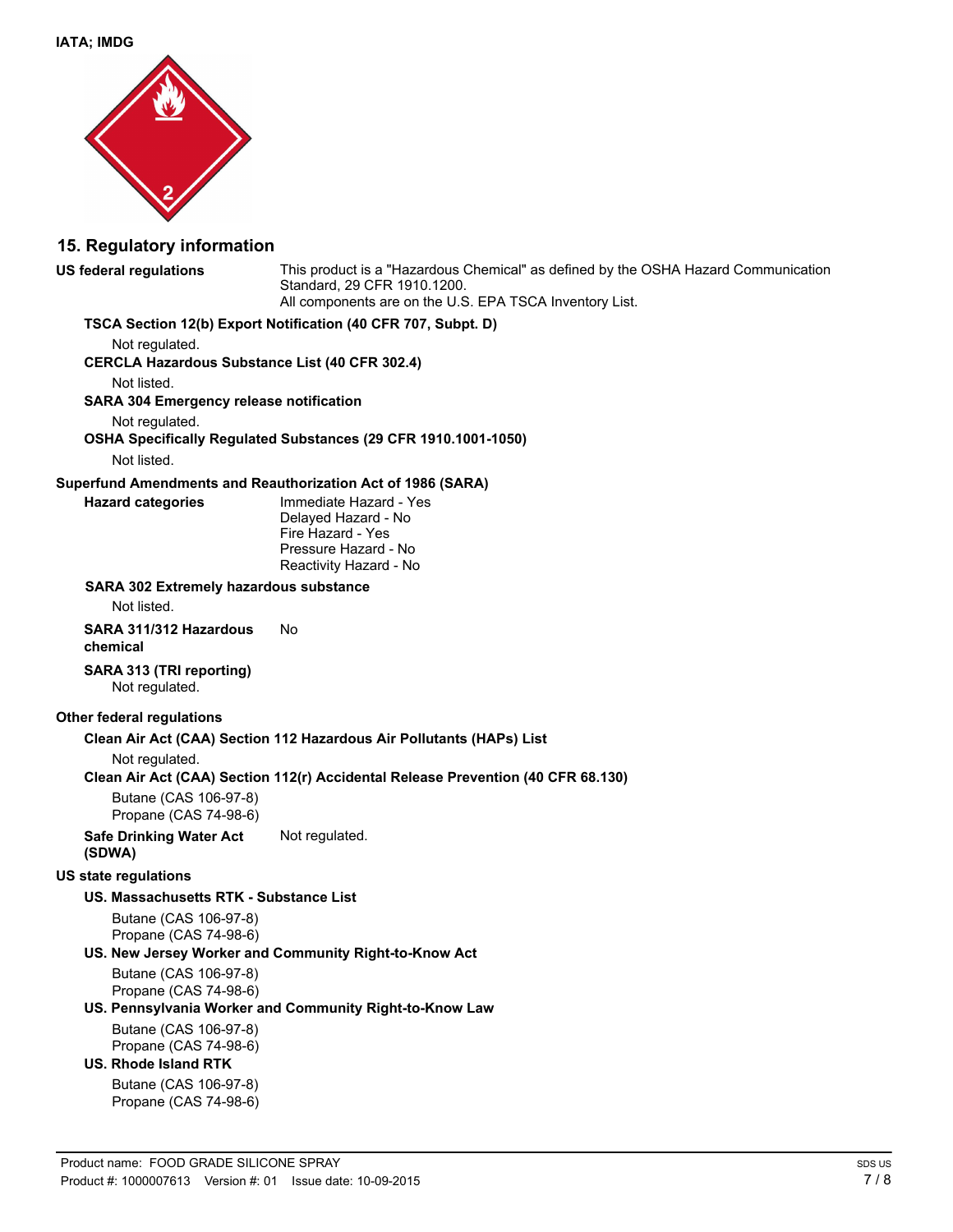

#### **15. Regulatory information**

**US federal regulations** This product is a "Hazardous Chemical" as defined by the OSHA Hazard Communication Standard, 29 CFR 1910.1200. All components are on the U.S. EPA TSCA Inventory List.

#### **TSCA Section 12(b) Export Notification (40 CFR 707, Subpt. D)**

Not regulated.

**CERCLA Hazardous Substance List (40 CFR 302.4)**

Not listed.

**SARA 304 Emergency release notification**

Not regulated.

# **OSHA Specifically Regulated Substances (29 CFR 1910.1001-1050)**

Not listed.

#### **Superfund Amendments and Reauthorization Act of 1986 (SARA)**

**Hazard categories** Immediate Hazard - Yes Delayed Hazard - No Fire Hazard - Yes Pressure Hazard - No Reactivity Hazard - No

#### **SARA 302 Extremely hazardous substance**

Not listed.

#### **SARA 311/312 Hazardous chemical** No

**SARA 313 (TRI reporting)** Not regulated.

#### **Other federal regulations**

#### **Clean Air Act (CAA) Section 112 Hazardous Air Pollutants (HAPs) List**

Not regulated.

#### **Clean Air Act (CAA) Section 112(r) Accidental Release Prevention (40 CFR 68.130)**

Butane (CAS 106-97-8) Propane (CAS 74-98-6)

**Safe Drinking Water Act (SDWA)** Not regulated.

#### **US state regulations**

#### **US. Massachusetts RTK - Substance List**

Butane (CAS 106-97-8) Propane (CAS 74-98-6)

#### **US. New Jersey Worker and Community Right-to-Know Act**

Butane (CAS 106-97-8) Propane (CAS 74-98-6)

#### **US. Pennsylvania Worker and Community Right-to-Know Law**

Butane (CAS 106-97-8) Propane (CAS 74-98-6)

#### **US. Rhode Island RTK**

Butane (CAS 106-97-8) Propane (CAS 74-98-6)